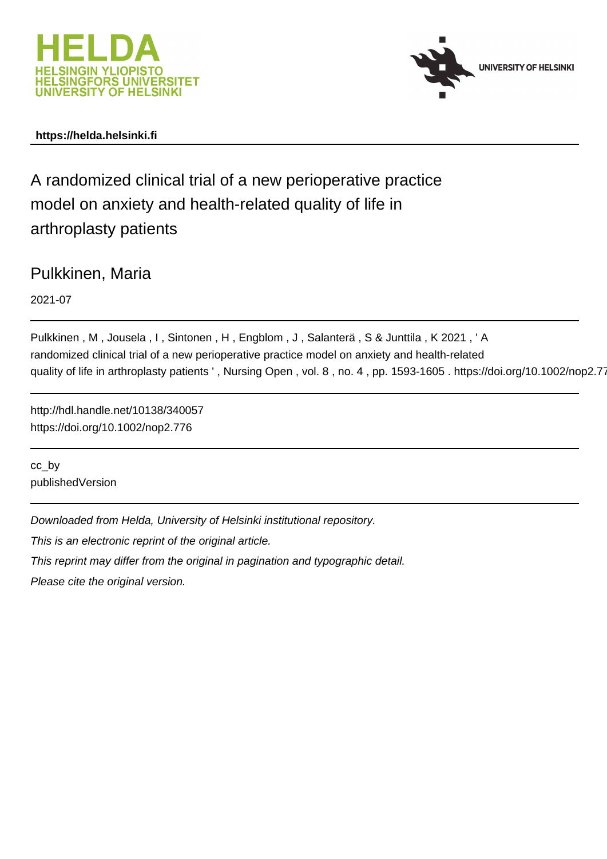



# **https://helda.helsinki.fi**

A randomized clinical trial of a new perioperative practice model on anxiety and health-related quality of life in arthroplasty patients

Pulkkinen, Maria

2021-07

Pulkkinen , M , Jousela , I , Sintonen , H , Engblom , J , Salanterä , S & Junttila , K 2021 , ' A randomized clinical trial of a new perioperative practice model on anxiety and health-related quality of life in arthroplasty patients ' , Nursing Open , vol. 8 , no. 4 , pp. 1593-1605 . https://doi.org/10.1002/nop2.776

http://hdl.handle.net/10138/340057 https://doi.org/10.1002/nop2.776

cc\_by publishedVersion

Downloaded from Helda, University of Helsinki institutional repository.

This is an electronic reprint of the original article.

This reprint may differ from the original in pagination and typographic detail.

Please cite the original version.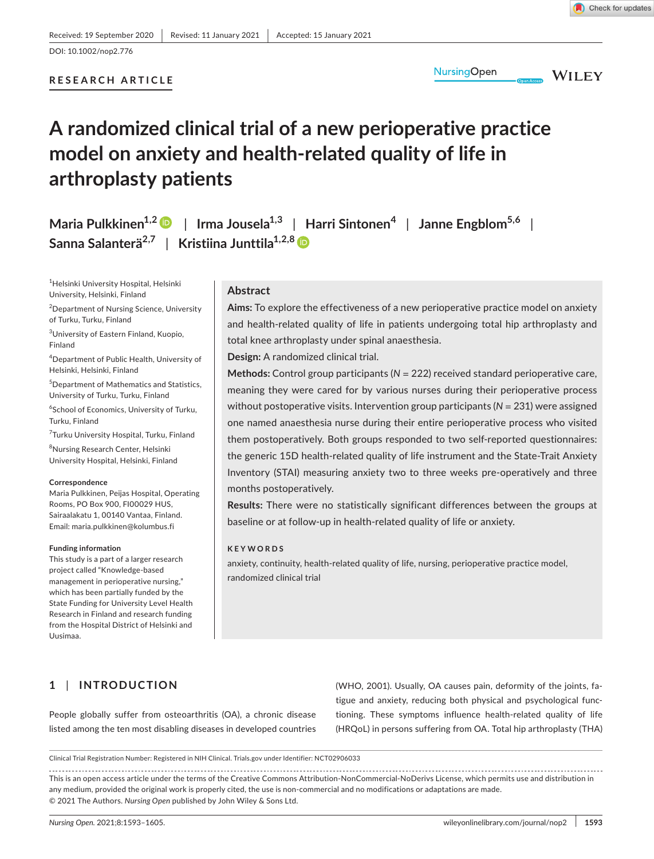# **RESEARCH ARTICLE**



**WILEY** 

# **A randomized clinical trial of a new perioperative practice model on anxiety and health-related quality of life in arthroplasty patients**

 $M$ aria Pulkkinen<sup>1,[2](https://orcid.org/0000-0003-4968-6173)</sup>  $\bullet$  | Irma Jousela<sup>1,3</sup> | Harri Sintonen<sup>4</sup> | Janne Engblom<sup>5,6</sup> | **Sanna Salanterä2,7** | **Kristiina Junttila1,2,[8](https://orcid.org/0000-0002-3541-601X)**

1 Helsinki University Hospital, Helsinki University, Helsinki, Finland

<sup>2</sup> Department of Nursing Science, University of Turku, Turku, Finland

3 University of Eastern Finland, Kuopio, Finland

4 Department of Public Health, University of Helsinki, Helsinki, Finland

5 Department of Mathematics and Statistics, University of Turku, Turku, Finland

6 School of Economics, University of Turku, Turku, Finland

<sup>7</sup>Turku University Hospital, Turku, Finland

8 Nursing Research Center, Helsinki University Hospital, Helsinki, Finland

#### **Correspondence**

Maria Pulkkinen, Peijas Hospital, Operating Rooms, PO Box 900, FI00029 HUS, Sairaalakatu 1, 00140 Vantaa, Finland. Email: [maria.pulkkinen@kolumbus.fi](mailto:maria.pulkkinen@kolumbus.fi)

#### **Funding information**

This study is a part of a larger research project called "Knowledge-based management in perioperative nursing," which has been partially funded by the State Funding for University Level Health Research in Finland and research funding from the Hospital District of Helsinki and Uusimaa.

# **Abstract**

**Aims:** To explore the effectiveness of a new perioperative practice model on anxiety and health-related quality of life in patients undergoing total hip arthroplasty and total knee arthroplasty under spinal anaesthesia.

**Design:** A randomized clinical trial.

**Methods:** Control group participants (*N =* 222) received standard perioperative care, meaning they were cared for by various nurses during their perioperative process without postoperative visits. Intervention group participants (*N =* 231) were assigned one named anaesthesia nurse during their entire perioperative process who visited them postoperatively. Both groups responded to two self-reported questionnaires: the generic 15D health-related quality of life instrument and the State-Trait Anxiety Inventory (STAI) measuring anxiety two to three weeks pre-operatively and three months postoperatively.

**Results:** There were no statistically significant differences between the groups at baseline or at follow-up in health-related quality of life or anxiety.

#### **KEYWORDS**

anxiety, continuity, health-related quality of life, nursing, perioperative practice model, randomized clinical trial

# **1** | **INTRODUCTION**

People globally suffer from osteoarthritis (OA), a chronic disease listed among the ten most disabling diseases in developed countries (WHO, 2001). Usually, OA causes pain, deformity of the joints, fatigue and anxiety, reducing both physical and psychological functioning. These symptoms influence health-related quality of life (HRQoL) in persons suffering from OA. Total hip arthroplasty (THA)

Clinical Trial Registration Number: Registered in NIH Clinical. Trials.gov under Identifier: NCT02906033

This is an open access article under the terms of the [Creative Commons Attribution-NonCommercial-NoDerivs](http://creativecommons.org/licenses/by/4.0/%0d%0a) License, which permits use and distribution in any medium, provided the original work is properly cited, the use is non-commercial and no modifications or adaptations are made. © 2021 The Authors. *Nursing Open* published by John Wiley & Sons Ltd.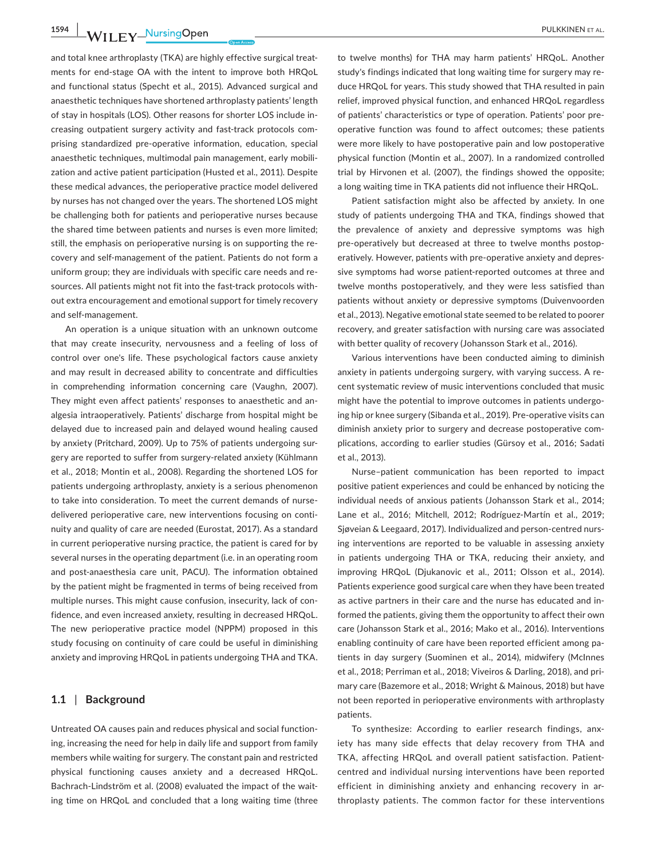**1594 WII EV\_NursingOpen** PULKKINEN ET AL.

and total knee arthroplasty (TKA) are highly effective surgical treatments for end-stage OA with the intent to improve both HRQoL and functional status (Specht et al., 2015). Advanced surgical and anaesthetic techniques have shortened arthroplasty patients' length of stay in hospitals (LOS). Other reasons for shorter LOS include increasing outpatient surgery activity and fast-track protocols comprising standardized pre-operative information, education, special anaesthetic techniques, multimodal pain management, early mobilization and active patient participation (Husted et al., 2011). Despite these medical advances, the perioperative practice model delivered by nurses has not changed over the years. The shortened LOS might be challenging both for patients and perioperative nurses because the shared time between patients and nurses is even more limited; still, the emphasis on perioperative nursing is on supporting the recovery and self-management of the patient. Patients do not form a uniform group; they are individuals with specific care needs and resources. All patients might not fit into the fast-track protocols without extra encouragement and emotional support for timely recovery and self-management.

An operation is a unique situation with an unknown outcome that may create insecurity, nervousness and a feeling of loss of control over one's life. These psychological factors cause anxiety and may result in decreased ability to concentrate and difficulties in comprehending information concerning care (Vaughn, 2007). They might even affect patients' responses to anaesthetic and analgesia intraoperatively. Patients' discharge from hospital might be delayed due to increased pain and delayed wound healing caused by anxiety (Pritchard, 2009). Up to 75% of patients undergoing surgery are reported to suffer from surgery-related anxiety (Kühlmann et al., 2018; Montin et al., 2008). Regarding the shortened LOS for patients undergoing arthroplasty, anxiety is a serious phenomenon to take into consideration. To meet the current demands of nursedelivered perioperative care, new interventions focusing on continuity and quality of care are needed (Eurostat, 2017). As a standard in current perioperative nursing practice, the patient is cared for by several nurses in the operating department (i.e. in an operating room and post-anaesthesia care unit, PACU). The information obtained by the patient might be fragmented in terms of being received from multiple nurses. This might cause confusion, insecurity, lack of confidence, and even increased anxiety, resulting in decreased HRQoL. The new perioperative practice model (NPPM) proposed in this study focusing on continuity of care could be useful in diminishing anxiety and improving HRQoL in patients undergoing THA and TKA.

# **1.1** | **Background**

Untreated OA causes pain and reduces physical and social functioning, increasing the need for help in daily life and support from family members while waiting for surgery. The constant pain and restricted physical functioning causes anxiety and a decreased HRQoL. Bachrach-Lindström et al. (2008) evaluated the impact of the waiting time on HRQoL and concluded that a long waiting time (three

to twelve months) for THA may harm patients' HRQoL. Another study's findings indicated that long waiting time for surgery may reduce HRQoL for years. This study showed that THA resulted in pain relief, improved physical function, and enhanced HRQoL regardless of patients' characteristics or type of operation. Patients' poor preoperative function was found to affect outcomes; these patients were more likely to have postoperative pain and low postoperative physical function (Montin et al., 2007). In a randomized controlled trial by Hirvonen et al. (2007), the findings showed the opposite; a long waiting time in TKA patients did not influence their HRQoL.

Patient satisfaction might also be affected by anxiety. In one study of patients undergoing THA and TKA, findings showed that the prevalence of anxiety and depressive symptoms was high pre-operatively but decreased at three to twelve months postoperatively. However, patients with pre-operative anxiety and depressive symptoms had worse patient-reported outcomes at three and twelve months postoperatively, and they were less satisfied than patients without anxiety or depressive symptoms (Duivenvoorden et al., 2013). Negative emotional state seemed to be related to poorer recovery, and greater satisfaction with nursing care was associated with better quality of recovery (Johansson Stark et al., 2016).

Various interventions have been conducted aiming to diminish anxiety in patients undergoing surgery, with varying success. A recent systematic review of music interventions concluded that music might have the potential to improve outcomes in patients undergoing hip or knee surgery (Sibanda et al., 2019). Pre-operative visits can diminish anxiety prior to surgery and decrease postoperative complications, according to earlier studies (Gürsoy et al., 2016; Sadati et al., 2013).

Nurse–patient communication has been reported to impact positive patient experiences and could be enhanced by noticing the individual needs of anxious patients (Johansson Stark et al., 2014; Lane et al., 2016; Mitchell, 2012; Rodríguez-Martín et al., 2019; Sjøveian & Leegaard, 2017). Individualized and person-centred nursing interventions are reported to be valuable in assessing anxiety in patients undergoing THA or TKA, reducing their anxiety, and improving HRQoL (Djukanovic et al., 2011; Olsson et al., 2014). Patients experience good surgical care when they have been treated as active partners in their care and the nurse has educated and informed the patients, giving them the opportunity to affect their own care (Johansson Stark et al., 2016; Mako et al., 2016). Interventions enabling continuity of care have been reported efficient among patients in day surgery (Suominen et al., 2014), midwifery (McInnes et al., 2018; Perriman et al., 2018; Viveiros & Darling, 2018), and primary care (Bazemore et al., 2018; Wright & Mainous, 2018) but have not been reported in perioperative environments with arthroplasty patients.

To synthesize: According to earlier research findings, anxiety has many side effects that delay recovery from THA and TKA, affecting HRQoL and overall patient satisfaction. Patientcentred and individual nursing interventions have been reported efficient in diminishing anxiety and enhancing recovery in arthroplasty patients. The common factor for these interventions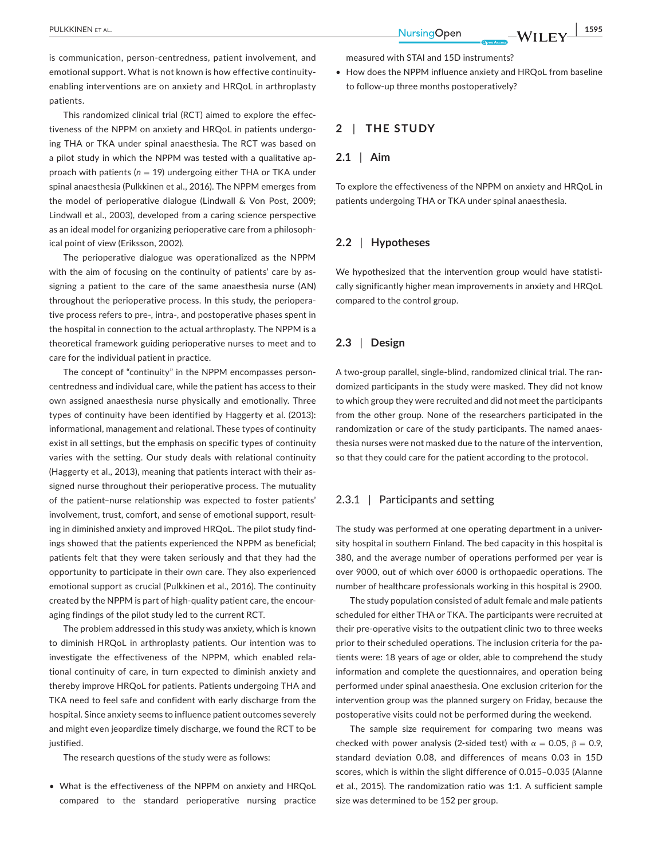is communication, person-centredness, patient involvement, and emotional support. What is not known is how effective continuityenabling interventions are on anxiety and HRQoL in arthroplasty patients.

This randomized clinical trial (RCT) aimed to explore the effectiveness of the NPPM on anxiety and HRQoL in patients undergoing THA or TKA under spinal anaesthesia. The RCT was based on a pilot study in which the NPPM was tested with a qualitative approach with patients (*n* = 19) undergoing either THA or TKA under spinal anaesthesia (Pulkkinen et al., 2016). The NPPM emerges from the model of perioperative dialogue (Lindwall & Von Post, 2009; Lindwall et al., 2003), developed from a caring science perspective as an ideal model for organizing perioperative care from a philosophical point of view (Eriksson, 2002).

The perioperative dialogue was operationalized as the NPPM with the aim of focusing on the continuity of patients' care by assigning a patient to the care of the same anaesthesia nurse (AN) throughout the perioperative process. In this study, the perioperative process refers to pre-, intra-, and postoperative phases spent in the hospital in connection to the actual arthroplasty. The NPPM is a theoretical framework guiding perioperative nurses to meet and to care for the individual patient in practice.

The concept of "continuity" in the NPPM encompasses personcentredness and individual care, while the patient has access to their own assigned anaesthesia nurse physically and emotionally. Three types of continuity have been identified by Haggerty et al. (2013): informational, management and relational. These types of continuity exist in all settings, but the emphasis on specific types of continuity varies with the setting. Our study deals with relational continuity (Haggerty et al., 2013), meaning that patients interact with their assigned nurse throughout their perioperative process. The mutuality of the patient–nurse relationship was expected to foster patients' involvement, trust, comfort, and sense of emotional support, resulting in diminished anxiety and improved HRQoL. The pilot study findings showed that the patients experienced the NPPM as beneficial; patients felt that they were taken seriously and that they had the opportunity to participate in their own care. They also experienced emotional support as crucial (Pulkkinen et al., 2016). The continuity created by the NPPM is part of high-quality patient care, the encouraging findings of the pilot study led to the current RCT.

The problem addressed in this study was anxiety, which is known to diminish HRQoL in arthroplasty patients. Our intention was to investigate the effectiveness of the NPPM, which enabled relational continuity of care, in turn expected to diminish anxiety and thereby improve HRQoL for patients. Patients undergoing THA and TKA need to feel safe and confident with early discharge from the hospital. Since anxiety seems to influence patient outcomes severely and might even jeopardize timely discharge, we found the RCT to be justified.

The research questions of the study were as follows:

• What is the effectiveness of the NPPM on anxiety and HRQoL compared to the standard perioperative nursing practice

measured with STAI and 15D instruments?

• How does the NPPM influence anxiety and HRQoL from baseline to follow-up three months postoperatively?

# **2** | **THE STUDY**

## **2.1** | **Aim**

To explore the effectiveness of the NPPM on anxiety and HRQoL in patients undergoing THA or TKA under spinal anaesthesia.

#### **2.2** | **Hypotheses**

We hypothesized that the intervention group would have statistically significantly higher mean improvements in anxiety and HRQoL compared to the control group.

#### **2.3** | **Design**

A two-group parallel, single-blind, randomized clinical trial. The randomized participants in the study were masked. They did not know to which group they were recruited and did not meet the participants from the other group. None of the researchers participated in the randomization or care of the study participants. The named anaesthesia nurses were not masked due to the nature of the intervention, so that they could care for the patient according to the protocol.

# 2.3.1 | Participants and setting

The study was performed at one operating department in a university hospital in southern Finland. The bed capacity in this hospital is 380, and the average number of operations performed per year is over 9000, out of which over 6000 is orthopaedic operations. The number of healthcare professionals working in this hospital is 2900.

The study population consisted of adult female and male patients scheduled for either THA or TKA. The participants were recruited at their pre-operative visits to the outpatient clinic two to three weeks prior to their scheduled operations. The inclusion criteria for the patients were: 18 years of age or older, able to comprehend the study information and complete the questionnaires, and operation being performed under spinal anaesthesia. One exclusion criterion for the intervention group was the planned surgery on Friday, because the postoperative visits could not be performed during the weekend.

The sample size requirement for comparing two means was checked with power analysis (2-sided test) with  $\alpha = 0.05$ ,  $\beta = 0.9$ , standard deviation 0.08, and differences of means 0.03 in 15D scores, which is within the slight difference of 0.015–0.035 (Alanne et al., 2015). The randomization ratio was 1:1. A sufficient sample size was determined to be 152 per group.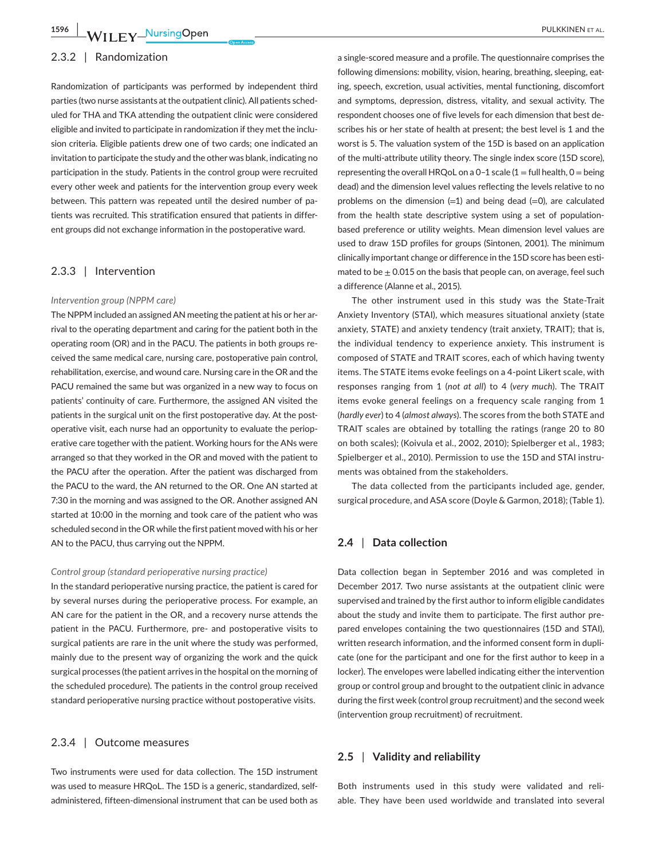#### 2.3.2 | Randomization

Randomization of participants was performed by independent third parties (two nurse assistants at the outpatient clinic). All patients scheduled for THA and TKA attending the outpatient clinic were considered eligible and invited to participate in randomization if they met the inclusion criteria. Eligible patients drew one of two cards; one indicated an invitation to participate the study and the other was blank, indicating no participation in the study. Patients in the control group were recruited every other week and patients for the intervention group every week between. This pattern was repeated until the desired number of patients was recruited. This stratification ensured that patients in different groups did not exchange information in the postoperative ward.

# 2.3.3 | Intervention

#### *Intervention group (NPPM care)*

The NPPM included an assigned AN meeting the patient at his or her arrival to the operating department and caring for the patient both in the operating room (OR) and in the PACU. The patients in both groups received the same medical care, nursing care, postoperative pain control, rehabilitation, exercise, and wound care. Nursing care in the OR and the PACU remained the same but was organized in a new way to focus on patients' continuity of care. Furthermore, the assigned AN visited the patients in the surgical unit on the first postoperative day. At the postoperative visit, each nurse had an opportunity to evaluate the perioperative care together with the patient. Working hours for the ANs were arranged so that they worked in the OR and moved with the patient to the PACU after the operation. After the patient was discharged from the PACU to the ward, the AN returned to the OR. One AN started at 7:30 in the morning and was assigned to the OR. Another assigned AN started at 10:00 in the morning and took care of the patient who was scheduled second in the OR while the first patient moved with his or her AN to the PACU, thus carrying out the NPPM.

#### *Control group (standard perioperative nursing practice)*

In the standard perioperative nursing practice, the patient is cared for by several nurses during the perioperative process. For example, an AN care for the patient in the OR, and a recovery nurse attends the patient in the PACU. Furthermore, pre- and postoperative visits to surgical patients are rare in the unit where the study was performed, mainly due to the present way of organizing the work and the quick surgical processes (the patient arrives in the hospital on the morning of the scheduled procedure). The patients in the control group received standard perioperative nursing practice without postoperative visits.

# 2.3.4 | Outcome measures

Two instruments were used for data collection. The 15D instrument was used to measure HRQoL. The 15D is a generic, standardized, selfadministered, fifteen-dimensional instrument that can be used both as

a single-scored measure and a profile. The questionnaire comprises the following dimensions: mobility, vision, hearing, breathing, sleeping, eating, speech, excretion, usual activities, mental functioning, discomfort and symptoms, depression, distress, vitality, and sexual activity. The respondent chooses one of five levels for each dimension that best describes his or her state of health at present; the best level is 1 and the worst is 5. The valuation system of the 15D is based on an application of the multi-attribute utility theory. The single index score (15D score), representing the overall HRQoL on a 0-1 scale  $(1 = full health, 0 = being$ dead) and the dimension level values reflecting the levels relative to no problems on the dimension  $(=1)$  and being dead  $(=0)$ , are calculated from the health state descriptive system using a set of populationbased preference or utility weights. Mean dimension level values are used to draw 15D profiles for groups (Sintonen, 2001). The minimum clinically important change or difference in the 15D score has been estimated to be  $\pm$  0.015 on the basis that people can, on average, feel such a difference (Alanne et al., 2015).

The other instrument used in this study was the State-Trait Anxiety Inventory (STAI), which measures situational anxiety (state anxiety, STATE) and anxiety tendency (trait anxiety, TRAIT); that is, the individual tendency to experience anxiety. This instrument is composed of STATE and TRAIT scores, each of which having twenty items. The STATE items evoke feelings on a 4-point Likert scale, with responses ranging from 1 (*not at all*) to 4 (*very much*). The TRAIT items evoke general feelings on a frequency scale ranging from 1 (*hardly ever*) to 4 (*almost always*). The scores from the both STATE and TRAIT scales are obtained by totalling the ratings (range 20 to 80 on both scales); (Koivula et al., 2002, 2010); Spielberger et al., 1983; Spielberger et al., 2010). Permission to use the 15D and STAI instruments was obtained from the stakeholders.

The data collected from the participants included age, gender, surgical procedure, and ASA score (Doyle & Garmon, 2018); (Table 1).

#### **2.4** | **Data collection**

Data collection began in September 2016 and was completed in December 2017. Two nurse assistants at the outpatient clinic were supervised and trained by the first author to inform eligible candidates about the study and invite them to participate. The first author prepared envelopes containing the two questionnaires (15D and STAI), written research information, and the informed consent form in duplicate (one for the participant and one for the first author to keep in a locker). The envelopes were labelled indicating either the intervention group or control group and brought to the outpatient clinic in advance during the first week (control group recruitment) and the second week (intervention group recruitment) of recruitment.

# **2.5** | **Validity and reliability**

Both instruments used in this study were validated and reliable. They have been used worldwide and translated into several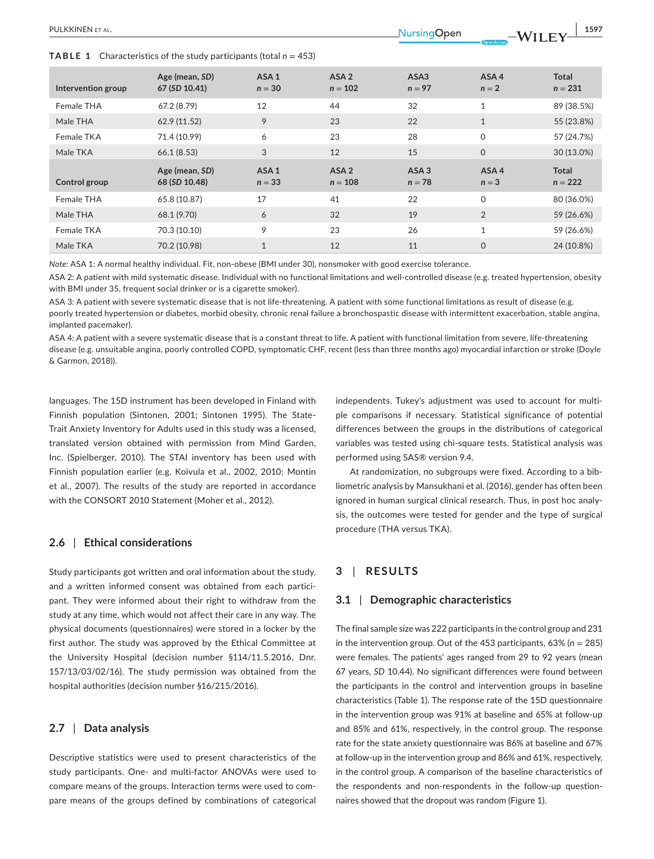**TABLE 1** Characteristics of the study participants (total  $n = 453$ )

| Intervention group | Age (mean, SD)<br>67 (SD 10.41) | ASA <sub>1</sub><br>$n = 30$ | ASA <sub>2</sub><br>$n = 102$ | ASA3<br>$n = 97$             | ASA4<br>$n = 2$ | <b>Total</b><br>$n = 231$ |
|--------------------|---------------------------------|------------------------------|-------------------------------|------------------------------|-----------------|---------------------------|
| Female THA         | 67.2(8.79)                      | 12                           | 44                            | 32                           | $\mathbf{1}$    | 89 (38.5%)                |
| Male THA           | 62.9 (11.52)                    | 9                            | 23                            | 22                           | $\mathbf{1}$    | 55 (23.8%)                |
| Female TKA         | 71.4 (10.99)                    | 6                            | 23                            | 28                           | 0               | 57 (24.7%)                |
| Male TKA           | 66.1(8.53)                      | 3                            | 12                            | 15                           | $\mathbf 0$     | 30 (13.0%)                |
|                    |                                 |                              |                               |                              |                 |                           |
| Control group      | Age (mean, SD)<br>68 (SD 10.48) | ASA <sub>1</sub><br>$n = 33$ | ASA <sub>2</sub><br>$n = 108$ | ASA <sub>3</sub><br>$n = 78$ | ASA4<br>$n = 3$ | <b>Total</b><br>$n = 222$ |
| Female THA         | 65.8 (10.87)                    | 17                           | 41                            | 22                           | $\mathsf{O}$    | 80 (36.0%)                |
| Male THA           | 68.1 (9.70)                     | 6                            | 32                            | 19                           | $\overline{2}$  | 59 (26.6%)                |
| Female TKA         | 70.3 (10.10)                    | 9                            | 23                            | 26                           | $\mathbf{1}$    | 59 (26.6%)                |

*Note:* ASA 1: A normal healthy individual. Fit, non-obese (BMI under 30), nonsmoker with good exercise tolerance.

ASA 2: A patient with mild systematic disease. Individual with no functional limitations and well-controlled disease (e.g. treated hypertension, obesity with BMI under 35, frequent social drinker or is a cigarette smoker).

ASA 3: A patient with severe systematic disease that is not life-threatening. A patient with some functional limitations as result of disease (e.g. poorly treated hypertension or diabetes, morbid obesity, chronic renal failure a bronchospastic disease with intermittent exacerbation, stable angina, implanted pacemaker).

ASA 4: A patient with a severe systematic disease that is a constant threat to life. A patient with functional limitation from severe, life-threatening disease (e.g. unsuitable angina, poorly controlled COPD, symptomatic CHF, recent (less than three months ago) myocardial infarction or stroke (Doyle & Garmon, 2018)).

languages. The 15D instrument has been developed in Finland with Finnish population (Sintonen, 2001; Sintonen 1995). The State-Trait Anxiety Inventory for Adults used in this study was a licensed, translated version obtained with permission from Mind Garden, Inc. (Spielberger, 2010). The STAI inventory has been used with Finnish population earlier (e.g. Koivula et al., 2002, 2010; Montin et al., 2007). The results of the study are reported in accordance with the CONSORT 2010 Statement (Moher et al., 2012).

# **2.6** | **Ethical considerations**

Study participants got written and oral information about the study, and a written informed consent was obtained from each participant. They were informed about their right to withdraw from the study at any time, which would not affect their care in any way. The physical documents (questionnaires) were stored in a locker by the first author. The study was approved by the Ethical Committee at the University Hospital (decision number §114/11.5.2016, Dnr. 157/13/03/02/16). The study permission was obtained from the hospital authorities (decision number §16/215/2016).

# **2.7** | **Data analysis**

Descriptive statistics were used to present characteristics of the study participants. One- and multi-factor ANOVAs were used to compare means of the groups. Interaction terms were used to compare means of the groups defined by combinations of categorical independents. Tukey's adjustment was used to account for multiple comparisons if necessary. Statistical significance of potential differences between the groups in the distributions of categorical variables was tested using chi-square tests. Statistical analysis was performed using SAS® version 9.4.

At randomization, no subgroups were fixed. According to a bibliometric analysis by Mansukhani et al. (2016), gender has often been ignored in human surgical clinical research. Thus, in post hoc analysis, the outcomes were tested for gender and the type of surgical procedure (THA versus TKA).

## **3** | **RESULTS**

## **3.1** | **Demographic characteristics**

The final sample size was 222 participants in the control group and 231 in the intervention group. Out of the 453 participants, 63% (*n* = 285) were females. The patients' ages ranged from 29 to 92 years (mean 67 years, *SD* 10.44). No significant differences were found between the participants in the control and intervention groups in baseline characteristics (Table 1). The response rate of the 15D questionnaire in the intervention group was 91% at baseline and 65% at follow-up and 85% and 61%, respectively, in the control group. The response rate for the state anxiety questionnaire was 86% at baseline and 67% at follow-up in the intervention group and 86% and 61%, respectively, in the control group. A comparison of the baseline characteristics of the respondents and non-respondents in the follow-up questionnaires showed that the dropout was random (Figure 1).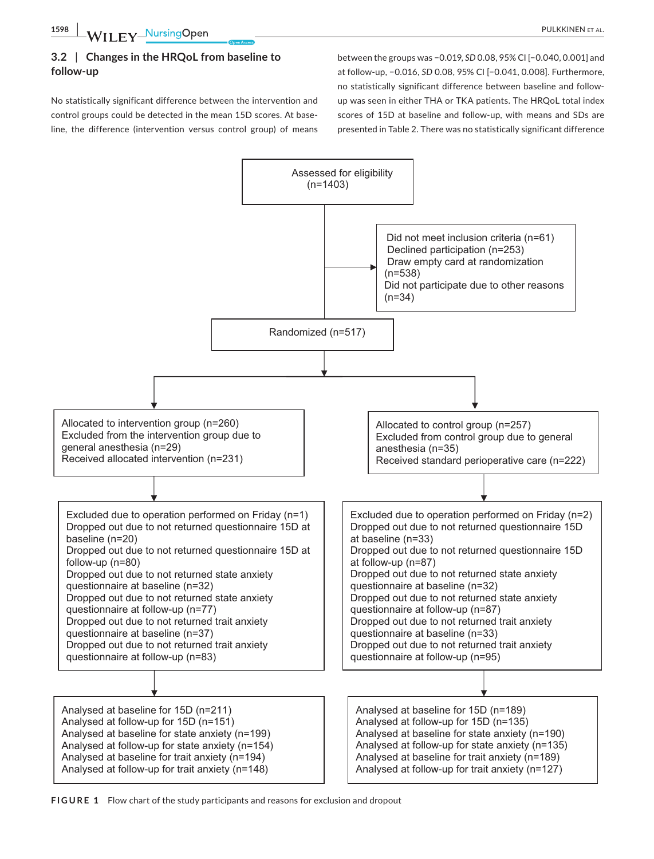# **3.2** | **Changes in the HRQoL from baseline to follow-up**

No statistically significant difference between the intervention and control groups could be detected in the mean 15D scores. At baseline, the difference (intervention versus control group) of means

between the groups was −0.019, *SD* 0.08, 95% CI [−0.040, 0.001] and at follow-up, −0.016, *SD* 0.08, 95% CI [−0.041, 0.008]. Furthermore, no statistically significant difference between baseline and followup was seen in either THA or TKA patients. The HRQoL total index scores of 15D at baseline and follow-up, with means and SDs are presented in Table 2. There was no statistically significant difference



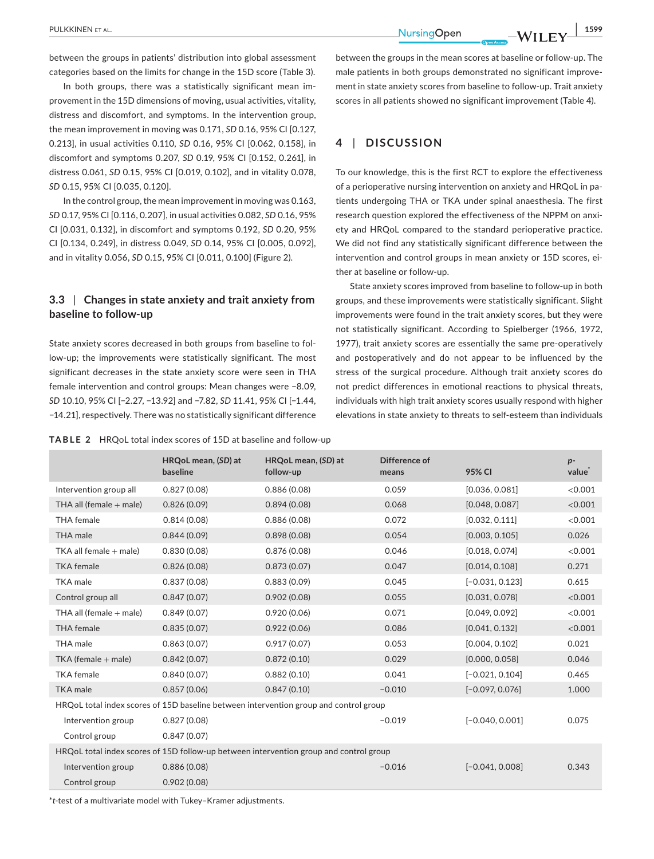between the groups in patients' distribution into global assessment categories based on the limits for change in the 15D score (Table 3).

In both groups, there was a statistically significant mean improvement in the 15D dimensions of moving, usual activities, vitality, distress and discomfort, and symptoms. In the intervention group, the mean improvement in moving was 0.171, *SD* 0.16, 95% CI [0.127, 0.213], in usual activities 0.110, *SD* 0.16, 95% CI [0.062, 0.158], in discomfort and symptoms 0.207, *SD* 0.19, 95% CI [0.152, 0.261], in distress 0.061, *SD* 0.15, 95% CI [0.019, 0.102], and in vitality 0.078, *SD* 0.15, 95% CI [0.035, 0.120].

In the control group, the mean improvement in moving was 0.163, *SD* 0.17, 95% CI [0.116, 0.207], in usual activities 0.082, *SD* 0.16, 95% CI [0.031, 0.132], in discomfort and symptoms 0.192, *SD* 0.20, 95% CI [0.134, 0.249], in distress 0.049, *SD* 0.14, 95% CI [0.005, 0.092], and in vitality 0.056, *SD* 0.15, 95% CI [0.011, 0.100] (Figure 2).

# **3.3** | **Changes in state anxiety and trait anxiety from baseline to follow-up**

State anxiety scores decreased in both groups from baseline to follow-up; the improvements were statistically significant. The most significant decreases in the state anxiety score were seen in THA female intervention and control groups: Mean changes were −8.09, *SD* 10.10, 95% CI [−2.27, −13.92] and −7.82, *SD* 11.41, 95% CI [−1.44, −14.21], respectively. There was no statistically significant difference

between the groups in the mean scores at baseline or follow-up. The male patients in both groups demonstrated no significant improvement in state anxiety scores from baseline to follow-up. Trait anxiety scores in all patients showed no significant improvement (Table 4).

# **4** | **DISCUSSION**

To our knowledge, this is the first RCT to explore the effectiveness of a perioperative nursing intervention on anxiety and HRQoL in patients undergoing THA or TKA under spinal anaesthesia. The first research question explored the effectiveness of the NPPM on anxiety and HRQoL compared to the standard perioperative practice. We did not find any statistically significant difference between the intervention and control groups in mean anxiety or 15D scores, either at baseline or follow-up.

State anxiety scores improved from baseline to follow-up in both groups, and these improvements were statistically significant. Slight improvements were found in the trait anxiety scores, but they were not statistically significant. According to Spielberger (1966, 1972, 1977), trait anxiety scores are essentially the same pre-operatively and postoperatively and do not appear to be influenced by the stress of the surgical procedure. Although trait anxiety scores do not predict differences in emotional reactions to physical threats, individuals with high trait anxiety scores usually respond with higher elevations in state anxiety to threats to self-esteem than individuals

|  |  |  |  | <b>TABLE 2</b> HRQoL total index scores of 15D at baseline and follow-up |
|--|--|--|--|--------------------------------------------------------------------------|
|--|--|--|--|--------------------------------------------------------------------------|

|                                                                                        | HRQoL mean, (SD) at<br>baseline | HRQoL mean, (SD) at<br>follow-up | Difference of<br>means | 95% CI            | $p-$<br>value |  |
|----------------------------------------------------------------------------------------|---------------------------------|----------------------------------|------------------------|-------------------|---------------|--|
| Intervention group all                                                                 | 0.827(0.08)                     | 0.886(0.08)                      | 0.059                  | [0.036, 0.081]    | < 0.001       |  |
| THA all (female $+$ male)                                                              | 0.826(0.09)                     | 0.894(0.08)                      | 0.068                  | [0.048, 0.087]    | < 0.001       |  |
| <b>THA</b> female                                                                      | 0.814(0.08)                     | 0.886(0.08)                      | 0.072                  | [0.032, 0.111]    | < 0.001       |  |
| <b>THA</b> male                                                                        | 0.844(0.09)                     | 0.898(0.08)                      | 0.054                  | [0.003, 0.105]    | 0.026         |  |
| TKA all female + male)                                                                 | 0.830(0.08)                     | 0.876(0.08)                      | 0.046                  | [0.018, 0.074]    | < 0.001       |  |
| <b>TKA</b> female                                                                      | 0.826(0.08)                     | 0.873(0.07)                      | 0.047                  | [0.014, 0.108]    | 0.271         |  |
| <b>TKA</b> male                                                                        | 0.837(0.08)                     | 0.883(0.09)                      | 0.045                  | $[-0.031, 0.123]$ | 0.615         |  |
| Control group all                                                                      | 0.847(0.07)                     | 0.902(0.08)                      | 0.055                  | [0.031, 0.078]    | < 0.001       |  |
| THA all (female + male)                                                                | 0.849(0.07)                     | 0.920(0.06)                      | 0.071                  | [0.049, 0.092]    | < 0.001       |  |
| <b>THA</b> female                                                                      | 0.835(0.07)                     | 0.922(0.06)                      | 0.086                  | [0.041, 0.132]    | < 0.001       |  |
| THA male                                                                               | 0.863(0.07)                     | 0.917(0.07)                      | 0.053                  | [0.004, 0.102]    | 0.021         |  |
| TKA (female + male)                                                                    | 0.842(0.07)                     | 0.872(0.10)                      | 0.029                  | [0.000, 0.058]    | 0.046         |  |
| <b>TKA</b> female                                                                      | 0.840(0.07)                     | 0.882(0.10)                      | 0.041                  | $[-0.021, 0.104]$ | 0.465         |  |
| <b>TKA</b> male                                                                        | 0.857(0.06)                     | 0.847(0.10)                      | $-0.010$               | $[-0.097, 0.076]$ | 1.000         |  |
| HRQoL total index scores of 15D baseline between intervention group and control group  |                                 |                                  |                        |                   |               |  |
| Intervention group                                                                     | 0.827(0.08)                     |                                  | $-0.019$               | $[-0.040, 0.001]$ | 0.075         |  |
| Control group                                                                          | 0.847(0.07)                     |                                  |                        |                   |               |  |
| HRQoL total index scores of 15D follow-up between intervention group and control group |                                 |                                  |                        |                   |               |  |
| Intervention group                                                                     | 0.886(0.08)                     |                                  | $-0.016$               | $[-0.041, 0.008]$ | 0.343         |  |
| Control group                                                                          | 0.902(0.08)                     |                                  |                        |                   |               |  |

\**t*-test of a multivariate model with Tukey–Kramer adjustments.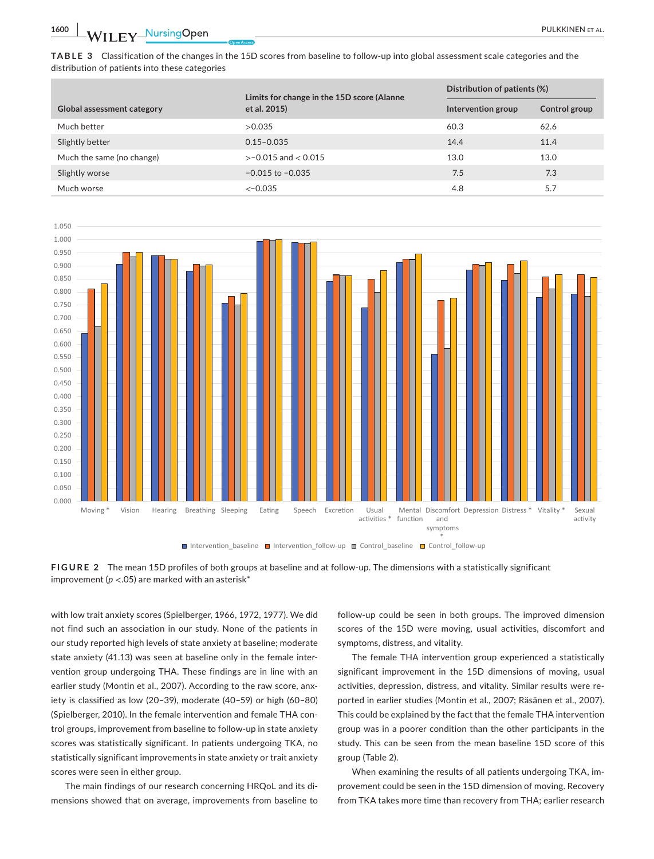**1600 WII FY NursingOpen** 2008 2009 2012 2023 2024 2025 2026 2027 2028 2021 2022 2023 2024 2022 2023 2024 2025 2026 2027 2028 2027 2028 2029 2022 2023 2022 2023 2029 2022 2023 2024 2022 2023 2029 2022 2023 2029 2029 2022 2

**TABLE 3** Classification of the changes in the 15D scores from baseline to follow-up into global assessment scale categories and the distribution of patients into these categories

|                                   | Limits for change in the 15D score (Alanne | Distribution of patients (%) |               |
|-----------------------------------|--------------------------------------------|------------------------------|---------------|
| <b>Global assessment category</b> | et al. 2015)                               | Intervention group           | Control group |
| Much better                       | >0.035                                     | 60.3                         | 62.6          |
| Slightly better                   | $0.15 - 0.035$                             | 14.4                         | 11.4          |
| Much the same (no change)         | $>-0.015$ and $< 0.015$                    | 13.0                         | 13.0          |
| Slightly worse                    | $-0.015$ to $-0.035$                       | 7.5                          | 7.3           |
| Much worse                        | $<-0.035$                                  | 4.8                          | 5.7           |





with low trait anxiety scores (Spielberger, 1966, 1972, 1977). We did not find such an association in our study. None of the patients in our study reported high levels of state anxiety at baseline; moderate state anxiety (41.13) was seen at baseline only in the female intervention group undergoing THA. These findings are in line with an earlier study (Montin et al., 2007). According to the raw score, anxiety is classified as low (20–39), moderate (40–59) or high (60–80) (Spielberger, 2010). In the female intervention and female THA control groups, improvement from baseline to follow-up in state anxiety scores was statistically significant. In patients undergoing TKA, no statistically significant improvements in state anxiety or trait anxiety scores were seen in either group.

The main findings of our research concerning HRQoL and its dimensions showed that on average, improvements from baseline to

follow-up could be seen in both groups. The improved dimension scores of the 15D were moving, usual activities, discomfort and symptoms, distress, and vitality.

The female THA intervention group experienced a statistically significant improvement in the 15D dimensions of moving, usual activities, depression, distress, and vitality. Similar results were reported in earlier studies (Montin et al., 2007; Räsänen et al., 2007). This could be explained by the fact that the female THA intervention group was in a poorer condition than the other participants in the study. This can be seen from the mean baseline 15D score of this group (Table 2).

When examining the results of all patients undergoing TKA, improvement could be seen in the 15D dimension of moving. Recovery from TKA takes more time than recovery from THA; earlier research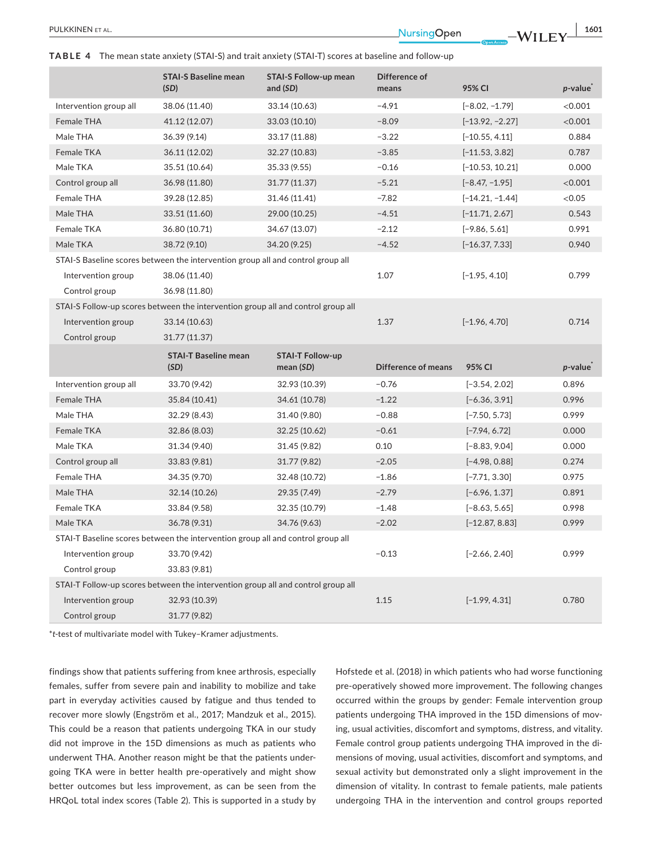**PULKKINEN ET AL.** 1601<br> **1601**<br> **1601**<br> **1601** 

**TABLE 4** The mean state anxiety (STAI-S) and trait anxiety (STAI-T) scores at baseline and follow-up

|                        | <b>STAI-S Baseline mean</b>                                                      | <b>STAI-S Follow-up mean</b> | Difference of              |                   |            |
|------------------------|----------------------------------------------------------------------------------|------------------------------|----------------------------|-------------------|------------|
|                        | (SD)                                                                             | and (SD)                     | means                      | 95% CI            | $p$ -value |
| Intervention group all | 38.06 (11.40)                                                                    | 33.14 (10.63)                | $-4.91$                    | $[-8.02, -1.79]$  | < 0.001    |
| Female THA             | 41.12 (12.07)                                                                    | 33.03 (10.10)                | $-8.09$                    | $[-13.92, -2.27]$ | < 0.001    |
| Male THA               | 36.39 (9.14)                                                                     | 33.17 (11.88)                | $-3.22$                    | $[-10.55, 4.11]$  | 0.884      |
| Female TKA             | 36.11 (12.02)                                                                    | 32.27 (10.83)                | $-3.85$                    | $[-11.53, 3.82]$  | 0.787      |
| Male TKA               | 35.51 (10.64)                                                                    | 35.33 (9.55)                 | $-0.16$                    | $[-10.53, 10.21]$ | 0.000      |
| Control group all      | 36.98 (11.80)                                                                    | 31.77 (11.37)                | $-5.21$                    | $[-8.47, -1.95]$  | < 0.001    |
| Female THA             | 39.28 (12.85)                                                                    | 31.46 (11.41)                | $-7.82$                    | $[-14.21, -1.44]$ | < 0.05     |
| Male THA               | 33.51 (11.60)                                                                    | 29.00 (10.25)                | $-4.51$                    | $[-11.71, 2.67]$  | 0.543      |
| Female TKA             | 36.80 (10.71)                                                                    | 34.67 (13.07)                | $-2.12$                    | $[-9.86, 5.61]$   | 0.991      |
| Male TKA               | 38.72 (9.10)                                                                     | 34.20 (9.25)                 | $-4.52$                    | $[-16.37, 7.33]$  | 0.940      |
|                        | STAI-S Baseline scores between the intervention group all and control group all  |                              |                            |                   |            |
| Intervention group     | 38.06 (11.40)                                                                    |                              | 1.07                       | $[-1.95, 4.10]$   | 0.799      |
| Control group          | 36.98 (11.80)                                                                    |                              |                            |                   |            |
|                        | STAI-S Follow-up scores between the intervention group all and control group all |                              |                            |                   |            |
| Intervention group     | 33.14 (10.63)                                                                    |                              | 1.37                       | $[-1.96, 4.70]$   | 0.714      |
| Control group          | 31.77 (11.37)                                                                    |                              |                            |                   |            |
|                        | <b>STAI-T Baseline mean</b>                                                      | <b>STAI-T Follow-up</b>      |                            |                   |            |
|                        | (SD)                                                                             | mean $(SD)$                  | <b>Difference of means</b> | 95% CI            | $p$ -value |
| Intervention group all | 33.70 (9.42)                                                                     | 32.93 (10.39)                | $-0.76$                    | $[-3.54, 2.02]$   | 0.896      |
| Female THA             | 35.84 (10.41)                                                                    | 34.61 (10.78)                | $-1.22$                    | $[-6.36, 3.91]$   | 0.996      |
| Male THA               | 32.29 (8.43)                                                                     | 31.40 (9.80)                 | $-0.88$                    | $[-7.50, 5.73]$   | 0.999      |
| Female TKA             | 32.86 (8.03)                                                                     | 32.25 (10.62)                | $-0.61$                    | $[-7.94, 6.72]$   | 0.000      |
| Male TKA               | 31.34 (9.40)                                                                     | 31.45 (9.82)                 | 0.10                       | $[-8.83, 9.04]$   | 0.000      |
| Control group all      | 33.83 (9.81)                                                                     | 31.77 (9.82)                 | $-2.05$                    | $[-4.98, 0.88]$   | 0.274      |
| Female THA             | 34.35 (9.70)                                                                     | 32.48 (10.72)                | $-1.86$                    | $[-7.71, 3.30]$   | 0.975      |
| Male THA               | 32.14 (10.26)                                                                    | 29.35 (7.49)                 | $-2.79$                    | $[-6.96, 1.37]$   | 0.891      |
| Female TKA             | 33.84 (9.58)                                                                     | 32.35 (10.79)                | $-1.48$                    | $[-8.63, 5.65]$   | 0.998      |
| Male TKA               | 36.78 (9.31)                                                                     | 34.76 (9.63)                 | $-2.02$                    | $[-12.87, 8.83]$  | 0.999      |
|                        | STAI-T Baseline scores between the intervention group all and control group all  |                              |                            |                   |            |
| Intervention group     | 33.70 (9.42)                                                                     |                              | $-0.13$                    | $[-2.66, 2.40]$   | 0.999      |
| Control group          | 33.83 (9.81)                                                                     |                              |                            |                   |            |
|                        | STAI-T Follow-up scores between the intervention group all and control group all |                              |                            |                   |            |
| Intervention group     | 32.93 (10.39)                                                                    |                              | 1.15                       | $[-1.99, 4.31]$   | 0.780      |
| Control group          | 31.77 (9.82)                                                                     |                              |                            |                   |            |

\**t*-test of multivariate model with Tukey–Kramer adjustments.

findings show that patients suffering from knee arthrosis, especially females, suffer from severe pain and inability to mobilize and take part in everyday activities caused by fatigue and thus tended to recover more slowly (Engström et al., 2017; Mandzuk et al., 2015). This could be a reason that patients undergoing TKA in our study did not improve in the 15D dimensions as much as patients who underwent THA. Another reason might be that the patients undergoing TKA were in better health pre-operatively and might show better outcomes but less improvement, as can be seen from the HRQoL total index scores (Table 2). This is supported in a study by

Hofstede et al. (2018) in which patients who had worse functioning pre-operatively showed more improvement. The following changes occurred within the groups by gender: Female intervention group patients undergoing THA improved in the 15D dimensions of moving, usual activities, discomfort and symptoms, distress, and vitality. Female control group patients undergoing THA improved in the dimensions of moving, usual activities, discomfort and symptoms, and sexual activity but demonstrated only a slight improvement in the dimension of vitality. In contrast to female patients, male patients undergoing THA in the intervention and control groups reported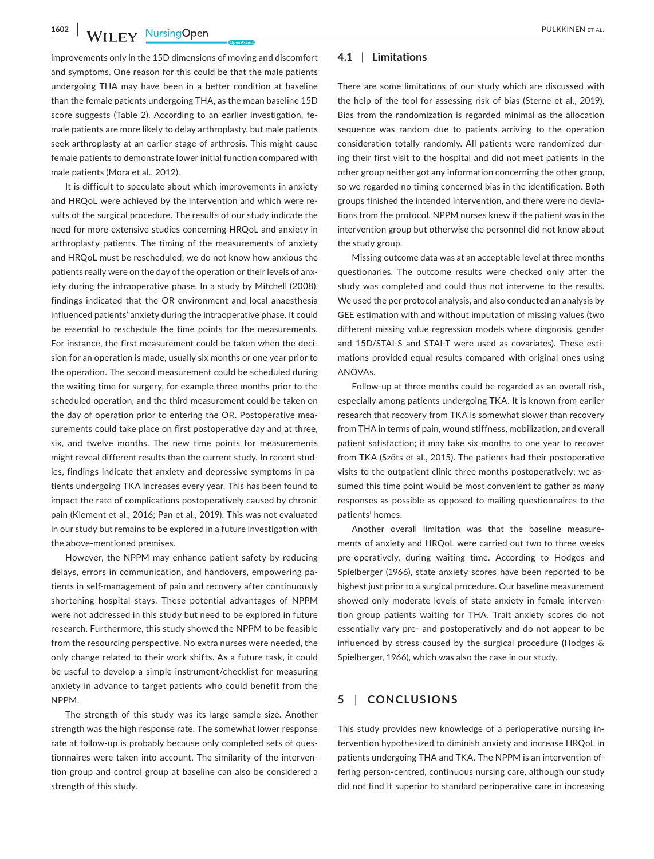**1602 WILEY NUISING OPEN CONSUMING A PULKKINEN ET AL.** 

improvements only in the 15D dimensions of moving and discomfort and symptoms. One reason for this could be that the male patients undergoing THA may have been in a better condition at baseline than the female patients undergoing THA, as the mean baseline 15D score suggests (Table 2). According to an earlier investigation, female patients are more likely to delay arthroplasty, but male patients seek arthroplasty at an earlier stage of arthrosis. This might cause female patients to demonstrate lower initial function compared with male patients (Mora et al., 2012).

It is difficult to speculate about which improvements in anxiety and HRQoL were achieved by the intervention and which were results of the surgical procedure. The results of our study indicate the need for more extensive studies concerning HRQoL and anxiety in arthroplasty patients. The timing of the measurements of anxiety and HRQoL must be rescheduled; we do not know how anxious the patients really were on the day of the operation or their levels of anxiety during the intraoperative phase. In a study by Mitchell (2008), findings indicated that the OR environment and local anaesthesia influenced patients' anxiety during the intraoperative phase. It could be essential to reschedule the time points for the measurements. For instance, the first measurement could be taken when the decision for an operation is made, usually six months or one year prior to the operation. The second measurement could be scheduled during the waiting time for surgery, for example three months prior to the scheduled operation, and the third measurement could be taken on the day of operation prior to entering the OR. Postoperative measurements could take place on first postoperative day and at three, six, and twelve months. The new time points for measurements might reveal different results than the current study. In recent studies, findings indicate that anxiety and depressive symptoms in patients undergoing TKA increases every year. This has been found to impact the rate of complications postoperatively caused by chronic pain (Klement et al., 2016; Pan et al., 2019). This was not evaluated in our study but remains to be explored in a future investigation with the above-mentioned premises.

However, the NPPM may enhance patient safety by reducing delays, errors in communication, and handovers, empowering patients in self-management of pain and recovery after continuously shortening hospital stays. These potential advantages of NPPM were not addressed in this study but need to be explored in future research. Furthermore, this study showed the NPPM to be feasible from the resourcing perspective. No extra nurses were needed, the only change related to their work shifts. As a future task, it could be useful to develop a simple instrument/checklist for measuring anxiety in advance to target patients who could benefit from the NPPM.

The strength of this study was its large sample size. Another strength was the high response rate. The somewhat lower response rate at follow-up is probably because only completed sets of questionnaires were taken into account. The similarity of the intervention group and control group at baseline can also be considered a strength of this study.

## **4.1** | **Limitations**

There are some limitations of our study which are discussed with the help of the tool for assessing risk of bias (Sterne et al., 2019). Bias from the randomization is regarded minimal as the allocation sequence was random due to patients arriving to the operation consideration totally randomly. All patients were randomized during their first visit to the hospital and did not meet patients in the other group neither got any information concerning the other group, so we regarded no timing concerned bias in the identification. Both groups finished the intended intervention, and there were no deviations from the protocol. NPPM nurses knew if the patient was in the intervention group but otherwise the personnel did not know about the study group.

Missing outcome data was at an acceptable level at three months questionaries. The outcome results were checked only after the study was completed and could thus not intervene to the results. We used the per protocol analysis, and also conducted an analysis by GEE estimation with and without imputation of missing values (two different missing value regression models where diagnosis, gender and 15D/STAI-S and STAI-T were used as covariates). These estimations provided equal results compared with original ones using ANOVAs.

Follow-up at three months could be regarded as an overall risk, especially among patients undergoing TKA. It is known from earlier research that recovery from TKA is somewhat slower than recovery from THA in terms of pain, wound stiffness, mobilization, and overall patient satisfaction; it may take six months to one year to recover from TKA (Szöts et al., 2015). The patients had their postoperative visits to the outpatient clinic three months postoperatively; we assumed this time point would be most convenient to gather as many responses as possible as opposed to mailing questionnaires to the patients' homes.

Another overall limitation was that the baseline measurements of anxiety and HRQoL were carried out two to three weeks pre-operatively, during waiting time. According to Hodges and Spielberger (1966), state anxiety scores have been reported to be highest just prior to a surgical procedure. Our baseline measurement showed only moderate levels of state anxiety in female intervention group patients waiting for THA. Trait anxiety scores do not essentially vary pre- and postoperatively and do not appear to be influenced by stress caused by the surgical procedure (Hodges & Spielberger, 1966), which was also the case in our study.

# **5** | **CONCLUSIONS**

This study provides new knowledge of a perioperative nursing intervention hypothesized to diminish anxiety and increase HRQoL in patients undergoing THA and TKA. The NPPM is an intervention offering person-centred, continuous nursing care, although our study did not find it superior to standard perioperative care in increasing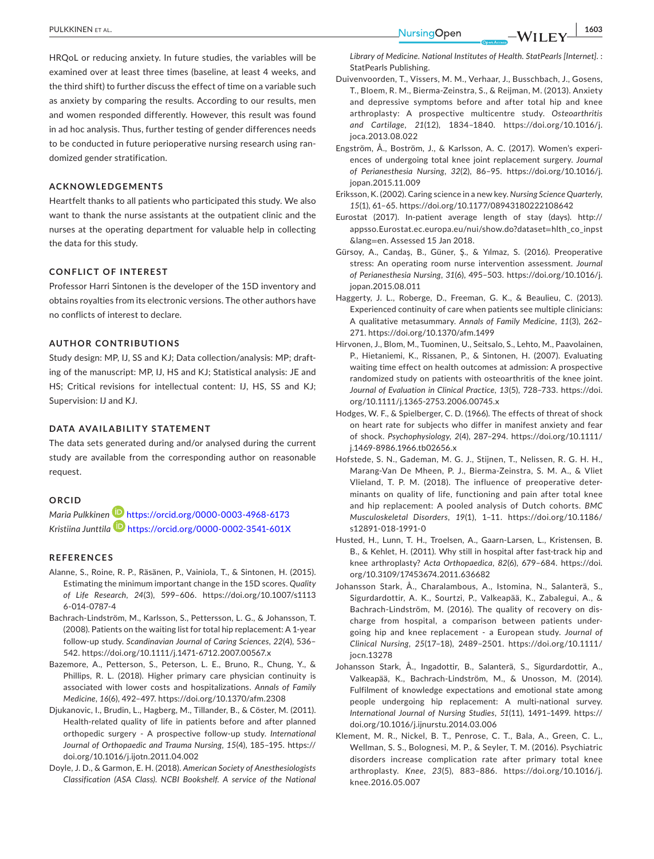**PULKKINEN ET AL. 1603** 

HRQoL or reducing anxiety. In future studies, the variables will be examined over at least three times (baseline, at least 4 weeks, and the third shift) to further discuss the effect of time on a variable such as anxiety by comparing the results. According to our results, men and women responded differently. However, this result was found in ad hoc analysis. Thus, further testing of gender differences needs to be conducted in future perioperative nursing research using randomized gender stratification.

# **ACKNOWLEDGEMENTS**

Heartfelt thanks to all patients who participated this study. We also want to thank the nurse assistants at the outpatient clinic and the nurses at the operating department for valuable help in collecting the data for this study.

# **CONFLICT OF INTEREST**

Professor Harri Sintonen is the developer of the 15D inventory and obtains royalties from its electronic versions. The other authors have no conflicts of interest to declare.

# **AUTHOR CONTRIBUTIONS**

Study design: MP, IJ, SS and KJ; Data collection/analysis: MP; drafting of the manuscript: MP, IJ, HS and KJ; Statistical analysis: JE and HS; Critical revisions for intellectual content: IJ, HS, SS and KJ; Supervision: IJ and KJ.

## **DATA AVAILABILITY STATEMENT**

The data sets generated during and/or analysed during the current study are available from the corresponding author on reasonable request.

#### **ORCID**

*Maria Pulkkinen* <https://orcid.org/0000-0003-4968-6173> *Kristiina Junttila* <https://orcid.org/0000-0002-3541-601X>

#### **REFERENCES**

- Alanne, S., Roine, R. P., Räsänen, P., Vainiola, T., & Sintonen, H. (2015). Estimating the minimum important change in the 15D scores. *Quality of Life Research*, *24*(3), 599–606. [https://doi.org/10.1007/s1113](https://doi.org/10.1007/s11136-014-0787-4) [6-014-0787-4](https://doi.org/10.1007/s11136-014-0787-4)
- Bachrach-Lindström, M., Karlsson, S., Pettersson, L. G., & Johansson, T. (2008). Patients on the waiting list for total hip replacement: A 1-year follow-up study. *Scandinavian Journal of Caring Sciences*, *22*(4), 536– 542. <https://doi.org/10.1111/j.1471-6712.2007.00567.x>
- Bazemore, A., Petterson, S., Peterson, L. E., Bruno, R., Chung, Y., & Phillips, R. L. (2018). Higher primary care physician continuity is associated with lower costs and hospitalizations. *Annals of Family Medicine*, *16*(6), 492–497.<https://doi.org/10.1370/afm.2308>
- Djukanovic, I., Brudin, L., Hagberg, M., Tillander, B., & Cöster, M. (2011). Health-related quality of life in patients before and after planned orthopedic surgery - A prospective follow-up study. *International Journal of Orthopaedic and Trauma Nursing*, *15*(4), 185–195. [https://](https://doi.org/10.1016/j.ijotn.2011.04.002) [doi.org/10.1016/j.ijotn.2011.04.002](https://doi.org/10.1016/j.ijotn.2011.04.002)
- Doyle, J. D., & Garmon, E. H. (2018). *American Society of Anesthesiologists Classification (ASA Class). NCBI Bookshelf. A service of the National*

*Library of Medicine. National Institutes of Health. StatPearls [Internet]*. : StatPearls Publishing.

- Duivenvoorden, T., Vissers, M. M., Verhaar, J., Busschbach, J., Gosens, T., Bloem, R. M., Bierma-Zeinstra, S., & Reijman, M. (2013). Anxiety and depressive symptoms before and after total hip and knee arthroplasty: A prospective multicentre study. *Osteoarthritis and Cartilage*, *21*(12), 1834–1840. [https://doi.org/10.1016/j.](https://doi.org/10.1016/j.joca.2013.08.022) [joca.2013.08.022](https://doi.org/10.1016/j.joca.2013.08.022)
- Engström, Å., Boström, J., & Karlsson, A. C. (2017). Women's experiences of undergoing total knee joint replacement surgery. *Journal of Perianesthesia Nursing*, *32*(2), 86–95. [https://doi.org/10.1016/j.](https://doi.org/10.1016/j.jopan.2015.11.009) [jopan.2015.11.009](https://doi.org/10.1016/j.jopan.2015.11.009)
- Eriksson, K. (2002). Caring science in a new key. *Nursing Science Quarterly*, *15*(1), 61–65.<https://doi.org/10.1177/08943180222108642>
- Eurostat (2017). In-patient average length of stay (days). [http://](http://appsso.Eurostat.ec.europa.eu/nui/show.do?dataset=hlth_co_inpst&lang=en) [appsso.Eurostat.ec.europa.eu/nui/show.do?dataset](http://appsso.Eurostat.ec.europa.eu/nui/show.do?dataset=hlth_co_inpst&lang=en)=hlth\_co\_inpst [&lang](http://appsso.Eurostat.ec.europa.eu/nui/show.do?dataset=hlth_co_inpst&lang=en)=en. Assessed 15 Jan 2018.
- Gürsoy, A., Candaş, B., Güner, Ş., & Yılmaz, S. (2016). Preoperative stress: An operating room nurse intervention assessment. *Journal of Perianesthesia Nursing*, *31*(6), 495–503. [https://doi.org/10.1016/j.](https://doi.org/10.1016/j.jopan.2015.08.011) [jopan.2015.08.011](https://doi.org/10.1016/j.jopan.2015.08.011)
- Haggerty, J. L., Roberge, D., Freeman, G. K., & Beaulieu, C. (2013). Experienced continuity of care when patients see multiple clinicians: A qualitative metasummary. *Annals of Family Medicine*, *11*(3), 262– 271.<https://doi.org/10.1370/afm.1499>
- Hirvonen, J., Blom, M., Tuominen, U., Seitsalo, S., Lehto, M., Paavolainen, P., Hietaniemi, K., Rissanen, P., & Sintonen, H. (2007). Evaluating waiting time effect on health outcomes at admission: A prospective randomized study on patients with osteoarthritis of the knee joint. *Journal of Evaluation in Clinical Practice*, *13*(5), 728–733. [https://doi.](https://doi.org/10.1111/j.1365-2753.2006.00745.x) [org/10.1111/j.1365-2753.2006.00745.x](https://doi.org/10.1111/j.1365-2753.2006.00745.x)
- Hodges, W. F., & Spielberger, C. D. (1966). The effects of threat of shock on heart rate for subjects who differ in manifest anxiety and fear of shock. *Psychophysiology*, *2*(4), 287–294. [https://doi.org/10.1111/](https://doi.org/10.1111/j.1469-8986.1966.tb02656.x) [j.1469-8986.1966.tb02656.x](https://doi.org/10.1111/j.1469-8986.1966.tb02656.x)
- Hofstede, S. N., Gademan, M. G. J., Stijnen, T., Nelissen, R. G. H. H., Marang-Van De Mheen, P. J., Bierma-Zeinstra, S. M. A., & Vliet Vlieland, T. P. M. (2018). The influence of preoperative determinants on quality of life, functioning and pain after total knee and hip replacement: A pooled analysis of Dutch cohorts. *BMC Musculoskeletal Disorders*, *19*(1), 1–11. [https://doi.org/10.1186/](https://doi.org/10.1186/s12891-018-1991-0) [s12891-018-1991-0](https://doi.org/10.1186/s12891-018-1991-0)
- Husted, H., Lunn, T. H., Troelsen, A., Gaarn-Larsen, L., Kristensen, B. B., & Kehlet, H. (2011). Why still in hospital after fast-track hip and knee arthroplasty? *Acta Orthopaedica*, *82*(6), 679–684. [https://doi.](https://doi.org/10.3109/17453674.2011.636682) [org/10.3109/17453674.2011.636682](https://doi.org/10.3109/17453674.2011.636682)
- Johansson Stark, Å., Charalambous, A., Istomina, N., Salanterä, S., Sigurdardottir, A. K., Sourtzi, P., Valkeapää, K., Zabalegui, A., & Bachrach-Lindström, M. (2016). The quality of recovery on discharge from hospital, a comparison between patients undergoing hip and knee replacement - a European study. *Journal of Clinical Nursing*, *25*(17–18), 2489–2501. [https://doi.org/10.1111/](https://doi.org/10.1111/jocn.13278) [jocn.13278](https://doi.org/10.1111/jocn.13278)
- Johansson Stark, Å., Ingadottir, B., Salanterä, S., Sigurdardottir, A., Valkeapää, K., Bachrach-Lindström, M., & Unosson, M. (2014). Fulfilment of knowledge expectations and emotional state among people undergoing hip replacement: A multi-national survey. *International Journal of Nursing Studies*, *51*(11), 1491–1499. [https://](https://doi.org/10.1016/j.ijnurstu.2014.03.006) [doi.org/10.1016/j.ijnurstu.2014.03.006](https://doi.org/10.1016/j.ijnurstu.2014.03.006)
- Klement, M. R., Nickel, B. T., Penrose, C. T., Bala, A., Green, C. L., Wellman, S. S., Bolognesi, M. P., & Seyler, T. M. (2016). Psychiatric disorders increase complication rate after primary total knee arthroplasty. *Knee*, *23*(5), 883–886. [https://doi.org/10.1016/j.](https://doi.org/10.1016/j.knee.2016.05.007) [knee.2016.05.007](https://doi.org/10.1016/j.knee.2016.05.007)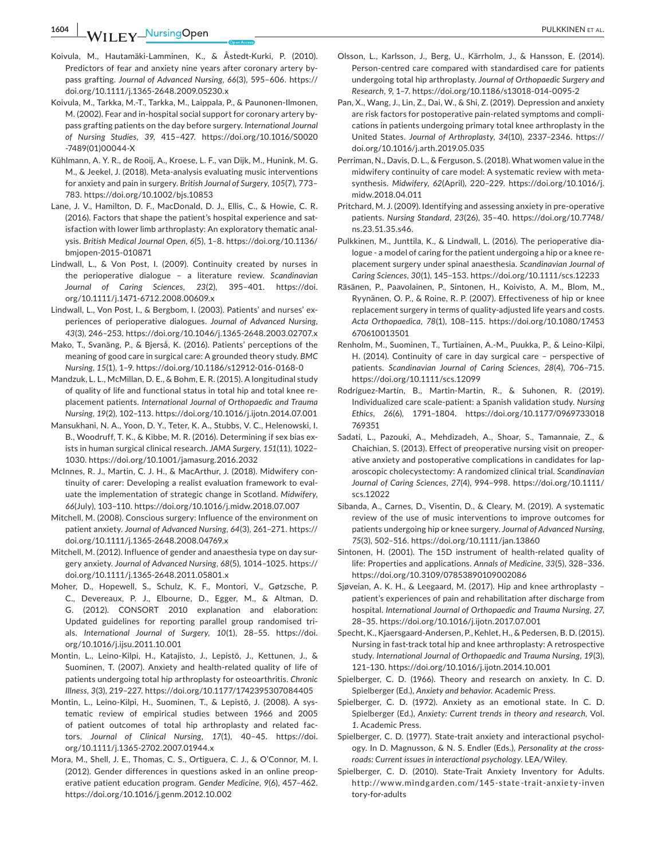**1604 |**  PULKKINEN et al.

- Koivula, M., Hautamäki-Lamminen, K., & Åstedt-Kurki, P. (2010). Predictors of fear and anxiety nine years after coronary artery bypass grafting. *Journal of Advanced Nursing*, *66*(3), 595–606. [https://](https://doi.org/10.1111/j.1365-2648.2009.05230.x) [doi.org/10.1111/j.1365-2648.2009.05230.x](https://doi.org/10.1111/j.1365-2648.2009.05230.x)
- Koivula, M., Tarkka, M.-T., Tarkka, M., Laippala, P., & Paunonen-Ilmonen, M. (2002). Fear and in-hospital social support for coronary artery bypass grafting patients on the day before surgery. *International Journal of Nursing Studies*, *39*, 415–427. [https://doi.org/10.1016/S0020](https://doi.org/10.1016/S0020-7489(01)00044-X) [-7489\(01\)00044-X](https://doi.org/10.1016/S0020-7489(01)00044-X)
- Kühlmann, A. Y. R., de Rooij, A., Kroese, L. F., van Dijk, M., Hunink, M. G. M., & Jeekel, J. (2018). Meta-analysis evaluating music interventions for anxiety and pain in surgery. *British Journal of Surgery*, *105*(7), 773– 783. <https://doi.org/10.1002/bjs.10853>
- Lane, J. V., Hamilton, D. F., MacDonald, D. J., Ellis, C., & Howie, C. R. (2016). Factors that shape the patient's hospital experience and satisfaction with lower limb arthroplasty: An exploratory thematic analysis. *British Medical Journal Open*, *6*(5), 1–8. [https://doi.org/10.1136/](https://doi.org/10.1136/bmjopen-2015-010871) [bmjopen-2015-010871](https://doi.org/10.1136/bmjopen-2015-010871)
- Lindwall, L., & Von Post, I. (2009). Continuity created by nurses in the perioperative dialogue – a literature review. *Scandinavian Journal of Caring Sciences*, *23*(2), 395–401. [https://doi.](https://doi.org/10.1111/j.1471-6712.2008.00609.x) [org/10.1111/j.1471-6712.2008.00609.x](https://doi.org/10.1111/j.1471-6712.2008.00609.x)
- Lindwall, L., Von Post, I., & Bergbom, I. (2003). Patients' and nurses' experiences of perioperative dialogues. *Journal of Advanced Nursing*, *43*(3), 246–253. <https://doi.org/10.1046/j.1365-2648.2003.02707.x>
- Mako, T., Svanäng, P., & Bjerså, K. (2016). Patients' perceptions of the meaning of good care in surgical care: A grounded theory study. *BMC Nursing*, *15*(1), 1–9.<https://doi.org/10.1186/s12912-016-0168-0>
- Mandzuk, L. L., McMillan, D. E., & Bohm, E. R. (2015). A longitudinal study of quality of life and functional status in total hip and total knee replacement patients. *International Journal of Orthopaedic and Trauma Nursing*, *19*(2), 102–113. <https://doi.org/10.1016/j.ijotn.2014.07.001>
- Mansukhani, N. A., Yoon, D. Y., Teter, K. A., Stubbs, V. C., Helenowski, I. B., Woodruff, T. K., & Kibbe, M. R. (2016). Determining if sex bias exists in human surgical clinical research. *JAMA Surgery*, *151*(11), 1022– 1030. <https://doi.org/10.1001/jamasurg.2016.2032>
- McInnes, R. J., Martin, C. J. H., & MacArthur, J. (2018). Midwifery continuity of carer: Developing a realist evaluation framework to evaluate the implementation of strategic change in Scotland. *Midwifery*, *66*(July), 103–110.<https://doi.org/10.1016/j.midw.2018.07.007>
- Mitchell, M. (2008). Conscious surgery: Influence of the environment on patient anxiety. *Journal of Advanced Nursing*, *64*(3), 261–271. [https://](https://doi.org/10.1111/j.1365-2648.2008.04769.x) [doi.org/10.1111/j.1365-2648.2008.04769.x](https://doi.org/10.1111/j.1365-2648.2008.04769.x)
- Mitchell, M. (2012). Influence of gender and anaesthesia type on day surgery anxiety. *Journal of Advanced Nursing*, *68*(5), 1014–1025. [https://](https://doi.org/10.1111/j.1365-2648.2011.05801.x) [doi.org/10.1111/j.1365-2648.2011.05801.x](https://doi.org/10.1111/j.1365-2648.2011.05801.x)
- Moher, D., Hopewell, S., Schulz, K. F., Montori, V., Gøtzsche, P. C., Devereaux, P. J., Elbourne, D., Egger, M., & Altman, D. G. (2012). CONSORT 2010 explanation and elaboration: Updated guidelines for reporting parallel group randomised trials. *International Journal of Surgery*, *10*(1), 28–55. [https://doi.](https://doi.org/10.1016/j.ijsu.2011.10.001) [org/10.1016/j.ijsu.2011.10.001](https://doi.org/10.1016/j.ijsu.2011.10.001)
- Montin, L., Leino-Kilpi, H., Katajisto, J., Lepistö, J., Kettunen, J., & Suominen, T. (2007). Anxiety and health-related quality of life of patients undergoing total hip arthroplasty for osteoarthritis. *Chronic Illness*, *3*(3), 219–227.<https://doi.org/10.1177/1742395307084405>
- Montin, L., Leino-Kilpi, H., Suominen, T., & Lepistö, J. (2008). A systematic review of empirical studies between 1966 and 2005 of patient outcomes of total hip arthroplasty and related factors. *Journal of Clinical Nursing*, *17*(1), 40–45. [https://doi.](https://doi.org/10.1111/j.1365-2702.2007.01944.x) [org/10.1111/j.1365-2702.2007.01944.x](https://doi.org/10.1111/j.1365-2702.2007.01944.x)
- Mora, M., Shell, J. E., Thomas, C. S., Ortiguera, C. J., & O'Connor, M. I. (2012). Gender differences in questions asked in an online preoperative patient education program. *Gender Medicine*, *9*(6), 457–462. <https://doi.org/10.1016/j.genm.2012.10.002>
- Olsson, L., Karlsson, J., Berg, U., Kärrholm, J., & Hansson, E. (2014). Person-centred care compared with standardised care for patients undergoing total hip arthroplasty. *Journal of Orthopaedic Surgery and Research*, *9*, 1–7. <https://doi.org/10.1186/s13018-014-0095-2>
- Pan, X., Wang, J., Lin, Z., Dai, W., & Shi, Z. (2019). Depression and anxiety are risk factors for postoperative pain-related symptoms and complications in patients undergoing primary total knee arthroplasty in the United States. *Journal of Arthroplasty*, *34*(10), 2337–2346. [https://](https://doi.org/10.1016/j.arth.2019.05.035) [doi.org/10.1016/j.arth.2019.05.035](https://doi.org/10.1016/j.arth.2019.05.035)
- Perriman, N., Davis, D. L., & Ferguson, S. (2018). What women value in the midwifery continuity of care model: A systematic review with metasynthesis. *Midwifery*, *62*(April), 220–229. [https://doi.org/10.1016/j.](https://doi.org/10.1016/j.midw.2018.04.011) [midw.2018.04.011](https://doi.org/10.1016/j.midw.2018.04.011)
- Pritchard, M. J. (2009). Identifying and assessing anxiety in pre-operative patients. *Nursing Standard*, *23*(26), 35–40. [https://doi.org/10.7748/](https://doi.org/10.7748/ns.23.51.35.s46) [ns.23.51.35.s46.](https://doi.org/10.7748/ns.23.51.35.s46)
- Pulkkinen, M., Junttila, K., & Lindwall, L. (2016). The perioperative dialogue - a model of caring for the patient undergoing a hip or a knee replacement surgery under spinal anaesthesia. *Scandinavian Journal of Caring Sciences*, *30*(1), 145–153. <https://doi.org/10.1111/scs.12233>
- Räsänen, P., Paavolainen, P., Sintonen, H., Koivisto, A. M., Blom, M., Ryynänen, O. P., & Roine, R. P. (2007). Effectiveness of hip or knee replacement surgery in terms of quality-adjusted life years and costs. *Acta Orthopaedica*, *78*(1), 108–115. [https://doi.org/10.1080/17453](https://doi.org/10.1080/17453670610013501) [670610013501](https://doi.org/10.1080/17453670610013501)
- Renholm, M., Suominen, T., Turtiainen, A.-M., Puukka, P., & Leino-Kilpi, H. (2014). Continuity of care in day surgical care – perspective of patients. *Scandinavian Journal of Caring Sciences*, *28*(4), 706–715. <https://doi.org/10.1111/scs.12099>
- Rodríguez-Martín, B., Martin-Martin, R., & Suhonen, R. (2019). Individualized care scale-patient: a Spanish validation study. *Nursing Ethics*, *26*(6), 1791–1804. [https://doi.org/10.1177/0969733018](https://doi.org/10.1177/0969733018769351) [769351](https://doi.org/10.1177/0969733018769351)
- Sadati, L., Pazouki, A., Mehdizadeh, A., Shoar, S., Tamannaie, Z., & Chaichian, S. (2013). Effect of preoperative nursing visit on preoperative anxiety and postoperative complications in candidates for laparoscopic cholecystectomy: A randomized clinical trial. *Scandinavian Journal of Caring Sciences*, *27*(4), 994–998. [https://doi.org/10.1111/](https://doi.org/10.1111/scs.12022) [scs.12022](https://doi.org/10.1111/scs.12022)
- Sibanda, A., Carnes, D., Visentin, D., & Cleary, M. (2019). A systematic review of the use of music interventions to improve outcomes for patients undergoing hip or knee surgery. *Journal of Advanced Nursing*, *75*(3), 502–516.<https://doi.org/10.1111/jan.13860>
- Sintonen, H. (2001). The 15D instrument of health-related quality of life: Properties and applications. *Annals of Medicine*, *33*(5), 328–336. <https://doi.org/10.3109/07853890109002086>
- Sjøveian, A. K. H., & Leegaard, M. (2017). Hip and knee arthroplasty patient's experiences of pain and rehabilitation after discharge from hospital. *International Journal of Orthopaedic and Trauma Nursing*, *27*, 28–35. <https://doi.org/10.1016/j.ijotn.2017.07.001>
- Specht, K., Kjaersgaard-Andersen, P., Kehlet, H., & Pedersen, B. D. (2015). Nursing in fast-track total hip and knee arthroplasty: A retrospective study. *International Journal of Orthopaedic and Trauma Nursing*, *19*(3), 121–130. <https://doi.org/10.1016/j.ijotn.2014.10.001>
- Spielberger, C. D. (1966). Theory and research on anxiety. In C. D. Spielberger (Ed.), *Anxiety and behavior*. Academic Press.
- Spielberger, C. D. (1972). Anxiety as an emotional state. In C. D. Spielberger (Ed.), *Anxiety: Current trends in theory and research*, Vol. *1*. Academic Press.
- Spielberger, C. D. (1977). State-trait anxiety and interactional psychology. In D. Magnusson, & N. S. Endler (Eds.), *Personality at the crossroads: Current issues in interactional psychology*. LEA/Wiley.
- Spielberger, C. D. (2010). State-Trait Anxiety Inventory for Adults. http://www.mindg [arden.com/145-state](http://www.mindgarden.com/145-state-trait-anxiety-inventory-for-adults) -trait-anxie ty-inven [tory-for-adults](http://www.mindgarden.com/145-state-trait-anxiety-inventory-for-adults)